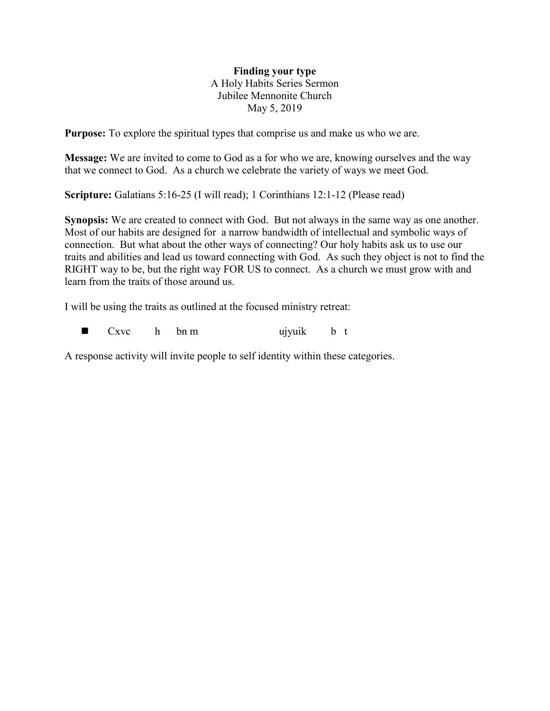## **Finding your type** A Holy Habits Series Sermon Jubilee Mennonite Church May 5, 2019

**Purpose:** To explore the spiritual types that comprise us and make us who we are.

**Message:** We are invited to come to God as a for who we are, knowing ourselves and the way that we connect to God. As a church we celebrate the variety of ways we meet God.

**Scripture:** Galatians 5:16-25 (I will read); 1 Corinthians 12:1-12 (Please read)

**Synopsis:** We are created to connect with God. But not always in the same way as one another. Most of our habits are designed for a narrow bandwidth of intellectual and symbolic ways of connection. But what about the other ways of connecting? Our holy habits ask us to use our traits and abilities and lead us toward connecting with God. As such they object is not to find the RIGHT way to be, but the right way FOR US to connect. As a church we must grow with and learn from the traits of those around us.

I will be using the traits as outlined at the focused ministry retreat:

 $\blacksquare$  Cxvc h bn m ujyuik b t

A response activity will invite people to self identity within these categories.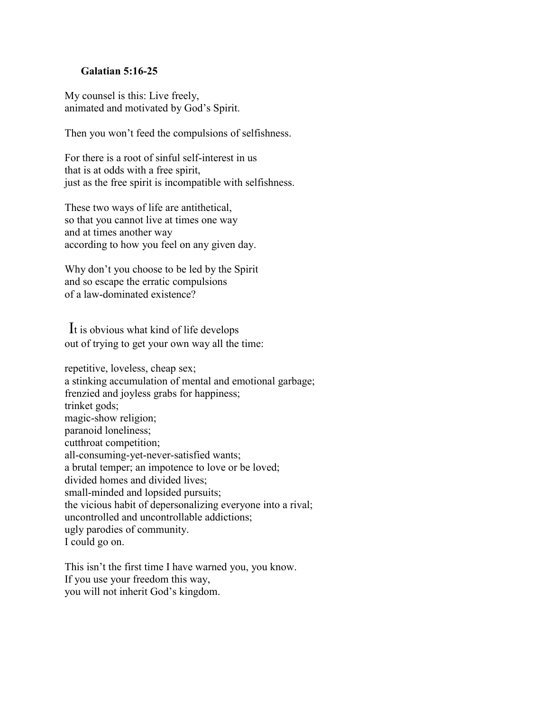## **Galatian 5:16-25**

My counsel is this: Live freely, animated and motivated by God's Spirit.

Then you won't feed the compulsions of selfishness.

For there is a root of sinful self-interest in us that is at odds with a free spirit, just as the free spirit is incompatible with selfishness.

These two ways of life are antithetical, so that you cannot live at times one way and at times another way according to how you feel on any given day.

Why don't you choose to be led by the Spirit and so escape the erratic compulsions of a law-dominated existence?

It is obvious what kind of life develops out of trying to get your own way all the time:

repetitive, loveless, cheap sex; a stinking accumulation of mental and emotional garbage; frenzied and joyless grabs for happiness; trinket gods; magic-show religion; paranoid loneliness; cutthroat competition; all-consuming-yet-never-satisfied wants; a brutal temper; an impotence to love or be loved; divided homes and divided lives; small-minded and lopsided pursuits; the vicious habit of depersonalizing everyone into a rival; uncontrolled and uncontrollable addictions; ugly parodies of community. I could go on.

This isn't the first time I have warned you, you know. If you use your freedom this way, you will not inherit God's kingdom.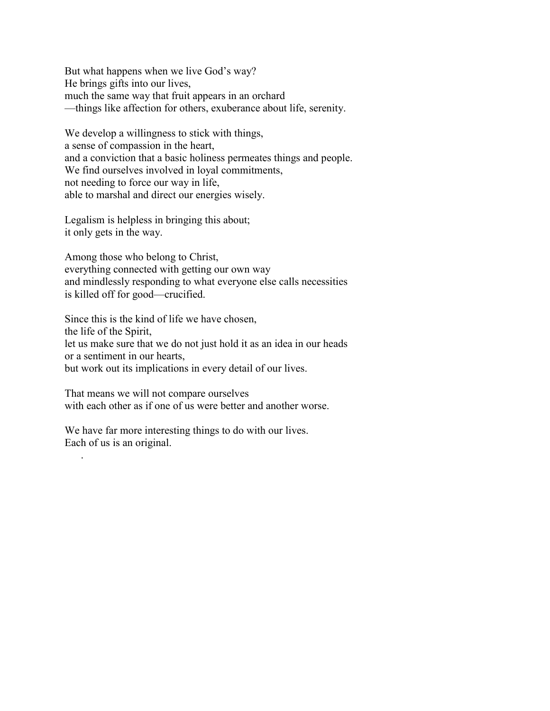But what happens when we live God's way? He brings gifts into our lives, much the same way that fruit appears in an orchard —things like affection for others, exuberance about life, serenity.

We develop a willingness to stick with things, a sense of compassion in the heart, and a conviction that a basic holiness permeates things and people. We find ourselves involved in loyal commitments, not needing to force our way in life, able to marshal and direct our energies wisely.

Legalism is helpless in bringing this about; it only gets in the way.

Among those who belong to Christ, everything connected with getting our own way and mindlessly responding to what everyone else calls necessities is killed off for good—crucified.

Since this is the kind of life we have chosen, the life of the Spirit, let us make sure that we do not just hold it as an idea in our heads or a sentiment in our hearts, but work out its implications in every detail of our lives.

That means we will not compare ourselves with each other as if one of us were better and another worse.

We have far more interesting things to do with our lives. Each of us is an original.

.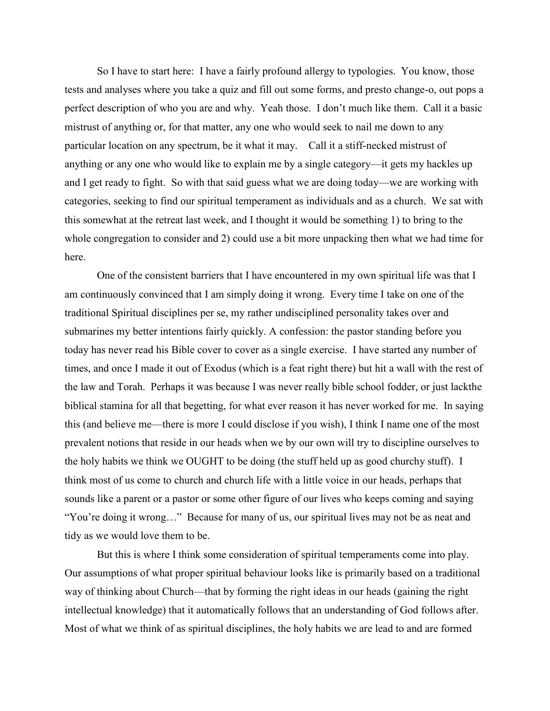So I have to start here: I have a fairly profound allergy to typologies. You know, those tests and analyses where you take a quiz and fill out some forms, and presto change-o, out pops a perfect description of who you are and why. Yeah those. I don't much like them. Call it a basic mistrust of anything or, for that matter, any one who would seek to nail me down to any particular location on any spectrum, be it what it may. Call it a stiff-necked mistrust of anything or any one who would like to explain me by a single category—it gets my hackles up and I get ready to fight. So with that said guess what we are doing today—we are working with categories, seeking to find our spiritual temperament as individuals and as a church. We sat with this somewhat at the retreat last week, and I thought it would be something 1) to bring to the whole congregation to consider and 2) could use a bit more unpacking then what we had time for here.

One of the consistent barriers that I have encountered in my own spiritual life was that I am continuously convinced that I am simply doing it wrong. Every time I take on one of the traditional Spiritual disciplines per se, my rather undisciplined personality takes over and submarines my better intentions fairly quickly. A confession: the pastor standing before you today has never read his Bible cover to cover as a single exercise. I have started any number of times, and once I made it out of Exodus (which is a feat right there) but hit a wall with the rest of the law and Torah. Perhaps it was because I was never really bible school fodder, or just lackthe biblical stamina for all that begetting, for what ever reason it has never worked for me. In saying this (and believe me—there is more I could disclose if you wish), I think I name one of the most prevalent notions that reside in our heads when we by our own will try to discipline ourselves to the holy habits we think we OUGHT to be doing (the stuff held up as good churchy stuff). I think most of us come to church and church life with a little voice in our heads, perhaps that sounds like a parent or a pastor or some other figure of our lives who keeps coming and saying "You're doing it wrong…" Because for many of us, our spiritual lives may not be as neat and tidy as we would love them to be.

But this is where I think some consideration of spiritual temperaments come into play. Our assumptions of what proper spiritual behaviour looks like is primarily based on a traditional way of thinking about Church—that by forming the right ideas in our heads (gaining the right intellectual knowledge) that it automatically follows that an understanding of God follows after. Most of what we think of as spiritual disciplines, the holy habits we are lead to and are formed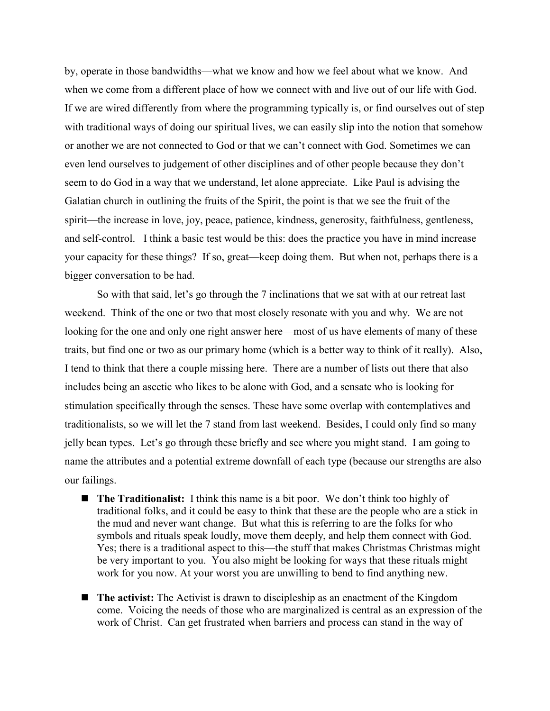by, operate in those bandwidths—what we know and how we feel about what we know. And when we come from a different place of how we connect with and live out of our life with God. If we are wired differently from where the programming typically is, or find ourselves out of step with traditional ways of doing our spiritual lives, we can easily slip into the notion that somehow or another we are not connected to God or that we can't connect with God. Sometimes we can even lend ourselves to judgement of other disciplines and of other people because they don't seem to do God in a way that we understand, let alone appreciate. Like Paul is advising the Galatian church in outlining the fruits of the Spirit, the point is that we see the fruit of the spirit—the increase in love, joy, peace, patience, kindness, generosity, faithfulness, gentleness, and self-control. I think a basic test would be this: does the practice you have in mind increase your capacity for these things? If so, great—keep doing them. But when not, perhaps there is a bigger conversation to be had.

So with that said, let's go through the 7 inclinations that we sat with at our retreat last weekend. Think of the one or two that most closely resonate with you and why. We are not looking for the one and only one right answer here—most of us have elements of many of these traits, but find one or two as our primary home (which is a better way to think of it really). Also, I tend to think that there a couple missing here. There are a number of lists out there that also includes being an ascetic who likes to be alone with God, and a sensate who is looking for stimulation specifically through the senses. These have some overlap with contemplatives and traditionalists, so we will let the 7 stand from last weekend. Besides, I could only find so many jelly bean types. Let's go through these briefly and see where you might stand. I am going to name the attributes and a potential extreme downfall of each type (because our strengths are also our failings.

- The Traditionalist: I think this name is a bit poor. We don't think too highly of traditional folks, and it could be easy to think that these are the people who are a stick in the mud and never want change. But what this is referring to are the folks for who symbols and rituals speak loudly, move them deeply, and help them connect with God. Yes; there is a traditional aspect to this—the stuff that makes Christmas Christmas might be very important to you. You also might be looking for ways that these rituals might work for you now. At your worst you are unwilling to bend to find anything new.
- **The activist:** The Activist is drawn to discipleship as an enactment of the Kingdom come. Voicing the needs of those who are marginalized is central as an expression of the work of Christ. Can get frustrated when barriers and process can stand in the way of